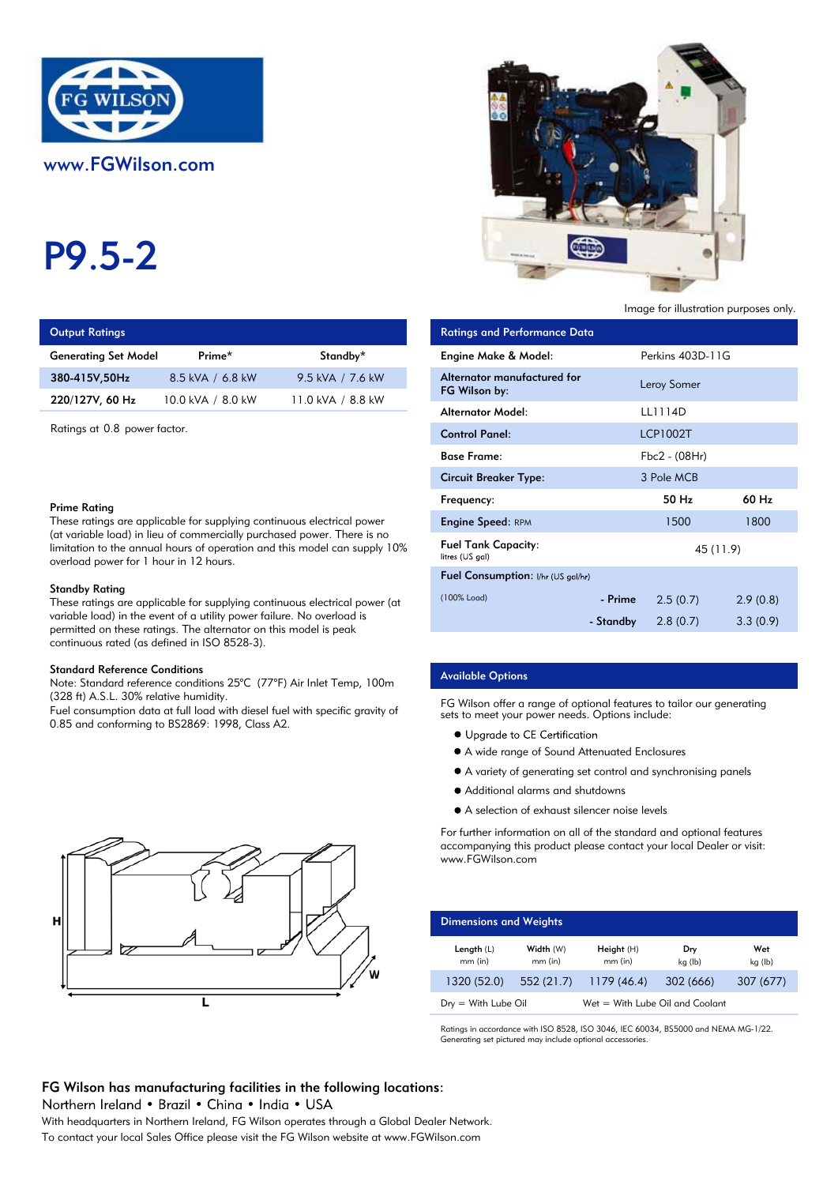

# P9.5-2

| <b>Output Ratings</b> |  |
|-----------------------|--|
|-----------------------|--|

| <b>Generating Set Model</b> | Prime*            | Standby*          | Engine Make & Model:   |
|-----------------------------|-------------------|-------------------|------------------------|
| 380-415V.50Hz               | 8.5 kVA / 6.8 kW  | 9.5 kVA / 7.6 kW  | Alternator manufactur  |
| 220/127V, 60 Hz             | 10.0 kVA / 8.0 kW | 11.0 kVA / 8.8 kW | FG Wilson by:          |
|                             |                   |                   | والمامكة وتمعم وسمعانة |

## Prime Rating

### Standby Rating

These ratings are applicable for supplying continuous electrical power (at variable load) in the event of a utility power failure. No overload is permitted on these ratings. The alternator on this model is peak continuous rated (as defined in ISO 8528-3).

## Standard Reference Conditions

Note: Standard reference conditions 25°C (77°F) Air Inlet Temp, 100m (328 ft) A.S.L. 30% relative humidity.

Fuel consumption data at full load with diesel fuel with specific gravity of 0.85 and conforming to BS2869: 1998, Class A2.





Image for illustration purposes only.

| <b>Output Ratings</b>                                                                                                                                                                          |                                                                                                                                            |                                                                            | <b>Ratings and Performance Data</b>           |           |                 |          |
|------------------------------------------------------------------------------------------------------------------------------------------------------------------------------------------------|--------------------------------------------------------------------------------------------------------------------------------------------|----------------------------------------------------------------------------|-----------------------------------------------|-----------|-----------------|----------|
| Prime*<br>Standby*<br>Generating Set Model                                                                                                                                                     |                                                                                                                                            | Perkins 403D-11G<br>Engine Make & Model:                                   |                                               |           |                 |          |
| 380-415V,50Hz                                                                                                                                                                                  | 8.5 kVA / 6.8 kW                                                                                                                           | 9.5 kVA / 7.6 kW                                                           | Alternator manufactured for<br>FG Wilson by:  |           | Leroy Somer     |          |
| 220/127V, 60 Hz                                                                                                                                                                                | 10.0 kVA / 8.0 kW                                                                                                                          | 11.0 kVA / 8.8 kW                                                          | <b>Alternator Model:</b>                      |           | LL1114D         |          |
| Ratings at 0.8 power factor.<br>Prime Ratina                                                                                                                                                   |                                                                                                                                            |                                                                            | <b>Control Panel:</b>                         |           | <b>LCP1002T</b> |          |
|                                                                                                                                                                                                |                                                                                                                                            |                                                                            | <b>Base Frame:</b>                            |           | $Fbc2 - (08Hr)$ |          |
|                                                                                                                                                                                                |                                                                                                                                            |                                                                            | <b>Circuit Breaker Type:</b>                  |           | 3 Pole MCB      |          |
|                                                                                                                                                                                                |                                                                                                                                            |                                                                            | Frequency:                                    |           | 50 Hz           | 60 Hz    |
|                                                                                                                                                                                                | These ratings are applicable for supplying continuous electrical power                                                                     |                                                                            | <b>Engine Speed: RPM</b>                      |           | 1500            | 1800     |
| (at variable load) in lieu of commercially purchased power. There is no<br>limitation to the annual hours of operation and this model can supply 10%<br>overload power for 1 hour in 12 hours. |                                                                                                                                            |                                                                            | <b>Fuel Tank Capacity:</b><br>litres (US gal) |           | 45 (11.9)       |          |
|                                                                                                                                                                                                |                                                                                                                                            |                                                                            | Fuel Consumption: I/hr (US gal/hr)            |           |                 |          |
| Standby Rating                                                                                                                                                                                 |                                                                                                                                            | These ratings are applicable for supplying continuous electrical power (at | (100% Load)                                   | - Prime   | 2.5(0.7)        | 2.9(0.8) |
|                                                                                                                                                                                                | variable load) in the event of a utility power failure. No overload is<br>permitted on these ratings. The alternator on this model is peak |                                                                            |                                               | - Standby | 2.8(0.7)        | 3.3(0.9) |

## Available Options

FG Wilson offer a range of optional features to tailor our generating sets to meet your power needs. Options include:

- Upgrade to CE Certification
- A wide range of Sound Attenuated Enclosures
- A variety of generating set control and synchronising panels
- Additional alarms and shutdowns
- A selection of exhaust silencer noise levels

For further information on all of the standard and optional features accompanying this product please contact your local Dealer or visit: www.FGWilson.com

| <b>Dimensions and Weights</b>   |                        |                                 |                |                |  |  |
|---------------------------------|------------------------|---------------------------------|----------------|----------------|--|--|
| Length $(L)$<br>$mm$ (in)       | Width (W)<br>$mm$ (in) | Height(H)<br>$mm$ (in)          | Dry<br>kg (lb) | Wet<br>kg (lb) |  |  |
| 1320 (52.0)                     | 552(21.7)              | 1179(46.4)                      | 302 (666)      | 307 (677)      |  |  |
| $D_{\text{IV}} =$ With Lube Oil |                        | Wet = With Lube Oil and Coolant |                |                |  |  |

Ratings in accordance with ISO 8528, ISO 3046, IEC 60034, BS5000 and NEMA MG-1/22. Generating set pictured may include optional accessories.

# FG Wilson has manufacturing facilities in the following locations:

Northern Ireland . Brazil . China . India . USA

With headquarters in Northern Ireland, FG Wilson operates through a Global Dealer Network. To contact your local Sales Office please visit the FG Wilson website at www.FGWilson.com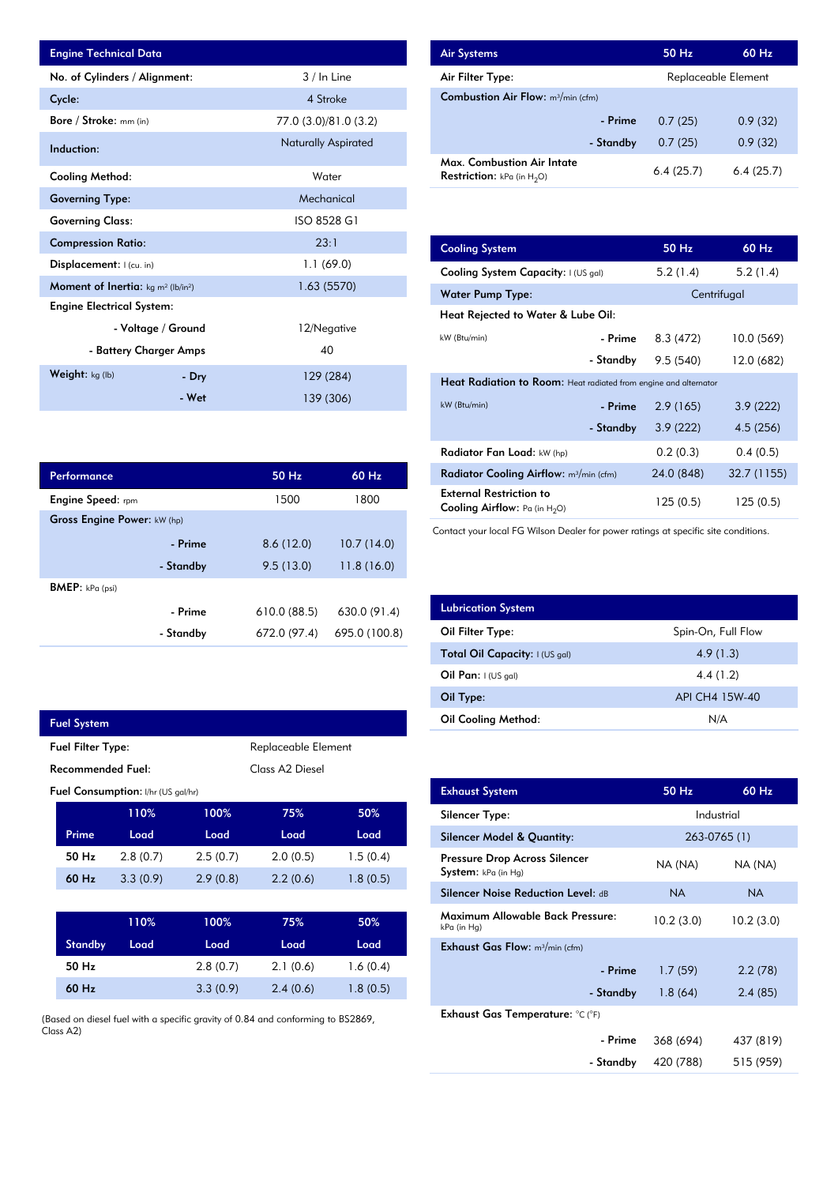| <b>Engine Technical Data</b>                                      |       |                            |  |  |
|-------------------------------------------------------------------|-------|----------------------------|--|--|
| No. of Cylinders / Alignment:                                     |       | $3/ln$ Line                |  |  |
| Cycle:                                                            |       | 4 Stroke                   |  |  |
| Bore / Stroke: mm (in)                                            |       | 77.0 (3.0)/81.0 (3.2)      |  |  |
| Induction:                                                        |       | <b>Naturally Aspirated</b> |  |  |
| Cooling Method:                                                   |       | Water                      |  |  |
| <b>Governing Type:</b>                                            |       | Mechanical                 |  |  |
| <b>Governing Class:</b>                                           |       | ISO 8528 G1                |  |  |
| <b>Compression Ratio:</b>                                         |       | 23:1                       |  |  |
| Displacement: I (cu. in)                                          |       | 1.1(69.0)                  |  |  |
| <b>Moment of Inertia:</b> kg m <sup>2</sup> (lb/in <sup>2</sup> ) |       | 1.63(5570)                 |  |  |
| <b>Engine Electrical System:</b>                                  |       |                            |  |  |
| - Voltage / Ground                                                |       | 12/Negative                |  |  |
| - Battery Charger Amps                                            |       | 40                         |  |  |
| Weight: kg (lb)                                                   | - Dry | 129 (284)                  |  |  |
|                                                                   | - Wet | 139 (306)                  |  |  |

| <b>Air Systems</b>                                    | 50 Hz                                                       | $60$ Hz                                                     |
|-------------------------------------------------------|-------------------------------------------------------------|-------------------------------------------------------------|
| Air Filter Type:                                      |                                                             | Replaceable Element                                         |
| <b>Combustion Air Flow:</b> m <sup>3</sup> /min (cfm) |                                                             |                                                             |
| - Prime                                               | 0.7(25)                                                     | 0.9(32)                                                     |
| - Standby                                             | 0.7(25)                                                     | 0.9(32)                                                     |
| <b>Max. Combustion Air Intate</b>                     | $\lambda$ $\lambda$ $\lambda$ $\lambda$ $\lambda$ $\lambda$ | $\lambda$ $\lambda$ $\lambda$ $\lambda$ $\lambda$ $\lambda$ |

6.4 (25.7) 6.4 (25.7)

**Restriction:** kPa (in  $H_2O$ )

| 23:1                   |       | <b>Cooling System</b>                                                     |                                                                         | $50$ Hz    | 60 Hz       |  |  |
|------------------------|-------|---------------------------------------------------------------------------|-------------------------------------------------------------------------|------------|-------------|--|--|
| 1.1(69.0)              |       | Cooling System Capacity: I (US gal)                                       |                                                                         | 5.2(1.4)   | 5.2(1.4)    |  |  |
| 1.63(5570)             |       | <b>Water Pump Type:</b>                                                   |                                                                         |            | Centrifugal |  |  |
|                        |       | Heat Rejected to Water & Lube Oil:                                        |                                                                         |            |             |  |  |
| 12/Negative            |       | kW (Btu/min)                                                              | - Prime                                                                 | 8.3 (472)  | 10.0 (569)  |  |  |
| 40                     |       |                                                                           | - Standby                                                               | 9.5(540)   | 12.0 (682)  |  |  |
| 129 (284)<br>139 (306) |       |                                                                           | <b>Heat Radiation to Room:</b> Heat radiated from engine and alternator |            |             |  |  |
|                        |       | kW (Btu/min)                                                              | - Prime                                                                 | 2.9(165)   | 3.9(222)    |  |  |
|                        |       |                                                                           | - Standby                                                               | 3.9(222)   | 4.5(256)    |  |  |
|                        |       | Radiator Fan Load: kW (hp)                                                |                                                                         | 0.2(0.3)   | 0.4(0.5)    |  |  |
| 50 Hz                  | 60 Hz | Radiator Cooling Airflow: m <sup>3</sup> /min (cfm)                       |                                                                         | 24.0 (848) | 32.7 (1155) |  |  |
| 1500                   | 1800  | <b>External Restriction to</b><br><b>Cooling Airflow:</b> Pa (in $H_2O$ ) |                                                                         | 125(0.5)   | 125(0.5)    |  |  |

Contact your local FG Wilson Dealer for power ratings at specific site conditions.

| <b>Lubrication System</b>      |                    |  |  |  |
|--------------------------------|--------------------|--|--|--|
| Oil Filter Type:               | Spin-On, Full Flow |  |  |  |
| Total Oil Capacity: I (US gal) | 4.9(1.3)           |  |  |  |
| Oil Pan: $I(US gal)$           | 4.4(1.2)           |  |  |  |
| Oil Type:                      | API CH4 15W-40     |  |  |  |
| <b>Oil Cooling Method:</b>     | N/A                |  |  |  |

| <b>Exhaust System</b>                                  | 50 Hz     | 60 Hz        |  |  |  |
|--------------------------------------------------------|-----------|--------------|--|--|--|
| Silencer Type:                                         |           | Industrial   |  |  |  |
| <b>Silencer Model &amp; Quantity:</b>                  |           | 263-0765 (1) |  |  |  |
| Pressure Drop Across Silencer<br>System: kPa (in Hg)   | NA (NA)   | NA (NA)      |  |  |  |
| <b>Silencer Noise Reduction Level: dB</b>              | <b>NA</b> | <b>NA</b>    |  |  |  |
| <b>Maximum Allowable Back Pressure:</b><br>kPa (in Hg) | 10.2(3.0) | 10.2(3.0)    |  |  |  |
| <b>Exhaust Gas Flow:</b> $m^3/m$ in (cfm)              |           |              |  |  |  |
| - Prime                                                | 1.7(59)   | 2.2(78)      |  |  |  |
| - Standby                                              | 1.8(64)   | 2.4(85)      |  |  |  |
| Exhaust Gas Temperature: °C (°F)                       |           |              |  |  |  |
| - Prime                                                | 368 (694) | 437 (819)    |  |  |  |
| - Standby                                              | 420 (788) | 515 (959)    |  |  |  |

| <b>Performance</b>          |           | 50 Hz        | 60 Hz         |
|-----------------------------|-----------|--------------|---------------|
| <b>Engine Speed:</b> rpm    |           | 1500         | 1800          |
| Gross Engine Power: kW (hp) |           |              |               |
|                             | - Prime   | 8.6(12.0)    | 10.7(14.0)    |
|                             | - Standby | 9.5(13.0)    | 11.8(16.0)    |
| <b>BMEP:</b> $kPa$ (psi)    |           |              |               |
|                             | - Prime   | 610.0 (88.5) | 630.0 (91.4)  |
|                             | - Standby | 672.0 (97.4) | 695.0 (100.8) |

|                          | <b>Fuel System</b> |                                           |          |                     |          |  |  |
|--------------------------|--------------------|-------------------------------------------|----------|---------------------|----------|--|--|
| <b>Fuel Filter Type:</b> |                    |                                           |          | Replaceable Element |          |  |  |
| Recommended Fuel:        |                    |                                           |          | Class A2 Diesel     |          |  |  |
|                          |                    | <b>Fuel Consumption:</b> I/hr (US gal/hr) |          |                     |          |  |  |
|                          |                    | 110%                                      | 100%     | 75%                 | 50%      |  |  |
|                          | Prime              | Load                                      | Load     | Load                | Load     |  |  |
|                          | 50 Hz              | 2.8(0.7)                                  | 2.5(0.7) | 2.0(0.5)            | 1.5(0.4) |  |  |
|                          | 60 Hz              | 3.3(0.9)                                  | 2.9(0.8) | 2.2(0.6)            | 1.8(0.5) |  |  |
|                          |                    |                                           |          |                     |          |  |  |
|                          |                    | 110%                                      | 100%     | 75%                 | 50%      |  |  |
|                          | <b>Standby</b>     | Load                                      | Load     | Load                | Load     |  |  |
|                          | 50 Hz              |                                           | 2.8(0.7) | 2.1(0.6)            | 1.6(0.4) |  |  |
|                          | 60 Hz              |                                           | 3.3(0.9) | 2.4(0.6)            | 1.8(0.5) |  |  |

L

(Based on diesel fuel with a specific gravity of 0.84 and conforming to BS2869, Class A2)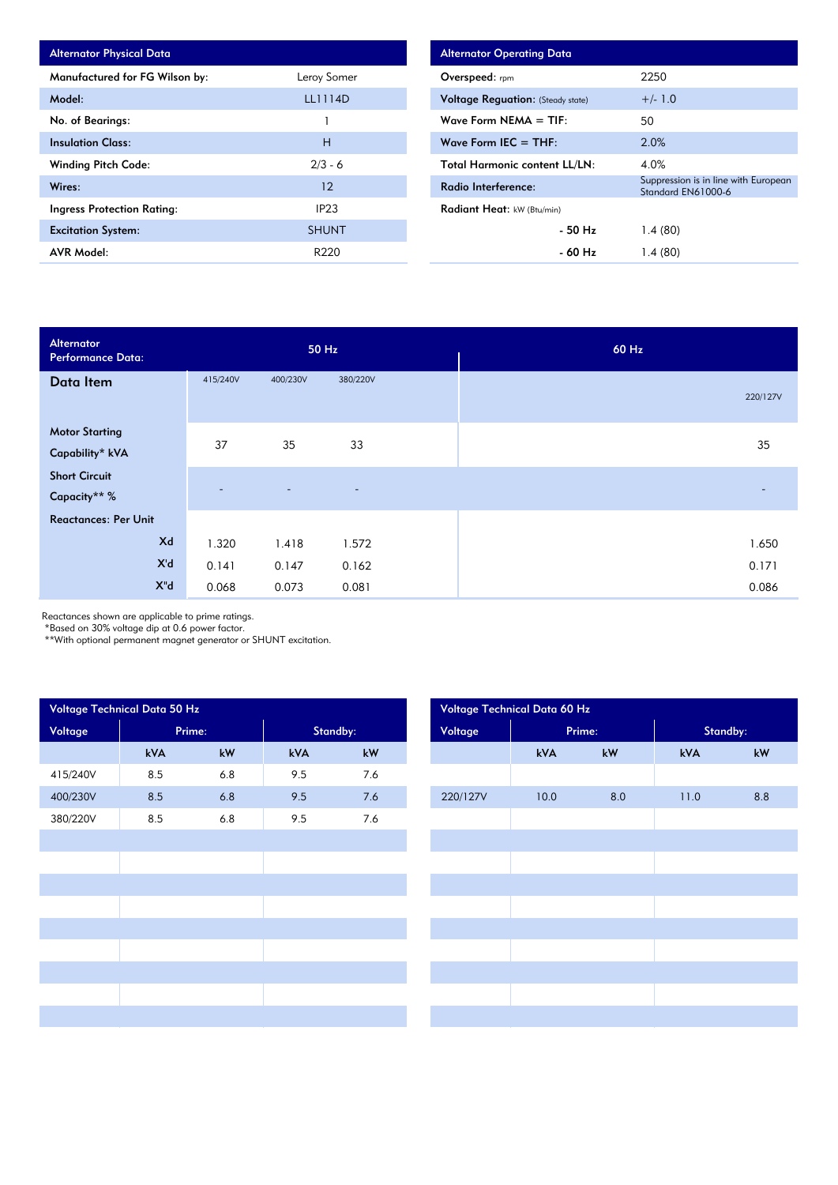| <b>Alternator Physical Data</b> |              |
|---------------------------------|--------------|
| Manufactured for FG Wilson by:  | Leroy Somer  |
| Model:                          | LL1114D      |
| No. of Bearings:                |              |
| <b>Insulation Class:</b>        | н            |
| <b>Winding Pitch Code:</b>      | $2/3 - 6$    |
| Wires:                          | 12           |
| Ingress Protection Rating:      | IP23         |
| <b>Excitation System:</b>       | <b>SHUNT</b> |
| <b>AVR Model:</b>               | R220         |

| <b>Alternator Operating Data</b>         |                                                            |  |  |  |  |  |
|------------------------------------------|------------------------------------------------------------|--|--|--|--|--|
| Overspeed: $r_{\text{pm}}$               | 2250                                                       |  |  |  |  |  |
| <b>Voltage Reguation:</b> (Steady state) | $+/- 1.0$                                                  |  |  |  |  |  |
| Wave Form NEMA $=$ TIF:                  | 50                                                         |  |  |  |  |  |
| Wave Form IEC $=$ THF:                   | 2.0%                                                       |  |  |  |  |  |
| <b>Total Harmonic content LL/LN:</b>     | 4.0%                                                       |  |  |  |  |  |
| Radio Interference:                      | Suppression is in line with European<br>Standard EN61000-6 |  |  |  |  |  |
| Radiant Heat: kW (Btu/min)               |                                                            |  |  |  |  |  |
| $-50$ Hz                                 | 1.4(80)                                                    |  |  |  |  |  |
| - 60 Hz                                  | 1.4(80)                                                    |  |  |  |  |  |

| <b>Alternator</b><br><b>Performance Data:</b> |          | 50 Hz    |                          | 60 Hz                    |
|-----------------------------------------------|----------|----------|--------------------------|--------------------------|
| Data Item                                     | 415/240V | 400/230V | 380/220V                 | 220/127V                 |
| <b>Motor Starting</b>                         | 37       | 35       | 33                       | 35                       |
| Capability* kVA                               |          |          |                          |                          |
| <b>Short Circuit</b>                          |          |          |                          |                          |
| Capacity** %                                  |          | ٠        | $\overline{\phantom{a}}$ | $\overline{\phantom{a}}$ |
| <b>Reactances: Per Unit</b>                   |          |          |                          |                          |
| Xd                                            | 1.320    | 1.418    | 1.572                    | 1.650                    |
| X'd                                           | 0.141    | 0.147    | 0.162                    | 0.171                    |
| $X^{\prime\prime}$ d                          | 0.068    | 0.073    | 0.081                    | 0.086                    |

Reactances shown are applicable to prime ratings.

\*Based on 30% voltage dip at 0.6 power factor.

\*\*With optional permanent magnet generator or SHUNT excitation.

|          | Voltage Technical Data 50 Hz |                        |     |     | Voltage Technical Data 60 Hz |      |        |  |          |
|----------|------------------------------|------------------------|-----|-----|------------------------------|------|--------|--|----------|
| Voltage  | Prime:<br>Standby:           |                        |     |     | Voltage                      |      | Prime: |  | Standby: |
|          | kVA                          | $\mathsf{k}\mathsf{W}$ | kVA | kW  |                              | kVA  | kW     |  | kVA      |
| 415/240V | 8.5                          | $6.8\,$                | 9.5 | 7.6 |                              |      |        |  |          |
| 400/230V | 8.5                          | 6.8                    | 9.5 | 7.6 | 220/127V                     | 10.0 | 8.0    |  | 11.0     |
| 380/220V | 8.5                          | 6.8                    | 9.5 | 7.6 |                              |      |        |  |          |
|          |                              |                        |     |     |                              |      |        |  |          |
|          |                              |                        |     |     |                              |      |        |  |          |
|          |                              |                        |     |     |                              |      |        |  |          |
|          |                              |                        |     |     |                              |      |        |  |          |
|          |                              |                        |     |     |                              |      |        |  |          |
|          |                              |                        |     |     |                              |      |        |  |          |
|          |                              |                        |     |     |                              |      |        |  |          |
|          |                              |                        |     |     |                              |      |        |  |          |
|          |                              |                        |     |     |                              |      |        |  |          |